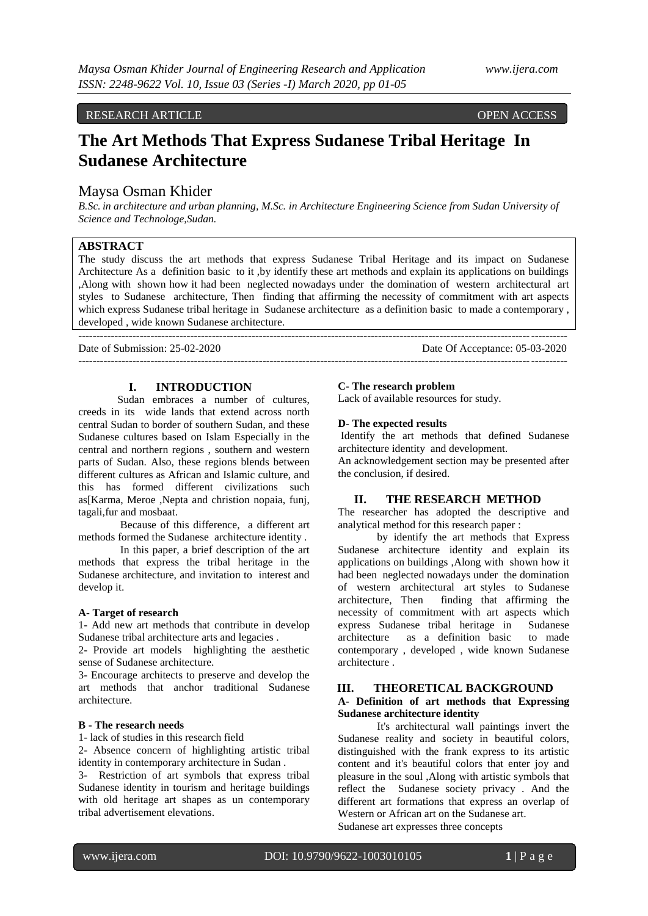# RESEARCH ARTICLE **CONSERVANCE OPEN ACCESS**

# **The Art Methods That Express Sudanese Tribal Heritage In Sudanese Architecture**

#### Maysa Osman Khider

*B.Sc. in architecture and urban planning, M.Sc. in Architecture Engineering Science from Sudan University of Science and Technologe,Sudan.*

## **ABSTRACT**

The study discuss the art methods that express Sudanese Tribal Heritage and its impact on Sudanese Architecture As a definition basic to it ,by identify these art methods and explain its applications on buildings ,Along with shown how it had been neglected nowadays under the domination of western architectural art styles to Sudanese architecture, Then finding that affirming the necessity of commitment with art aspects which express Sudanese tribal heritage in Sudanese architecture as a definition basic to made a contemporary , developed , wide known Sudanese architecture.

---------------------------------------------------------------------------------------------------------------------------------------

---------------------------------------------------------------------------------------------------------------------------------------

Date of Submission: 25-02-2020 Date Of Acceptance: 05-03-2020

#### **I. INTRODUCTION**

Sudan embraces a number of cultures, creeds in its wide lands that extend across north central Sudan to border of southern Sudan, and these Sudanese cultures based on Islam Especially in the central and northern regions , southern and western parts of Sudan. Also, these regions blends between different cultures as African and Islamic culture, and this has formed different civilizations such as[Karma, Meroe ,Nepta and christion nopaia, funj, tagali,fur and mosbaat.

Because of this difference, a different art methods formed the Sudanese architecture identity .

In this paper, a brief description of the art methods that express the tribal heritage in the Sudanese architecture, and invitation to interest and develop it.

#### **A- Target of research**

1- Add new art methods that contribute in develop Sudanese tribal architecture arts and legacies .

2- Provide art models highlighting the aesthetic sense of Sudanese architecture.

3- Encourage architects to preserve and develop the art methods that anchor traditional Sudanese architecture.

#### **B - The research needs**

1- lack of studies in this research field

2- Absence concern of highlighting artistic tribal identity in contemporary architecture in Sudan .

3- Restriction of art symbols that express tribal Sudanese identity in tourism and heritage buildings with old heritage art shapes as un contemporary tribal advertisement elevations.

#### **C- The research problem**

Lack of available resources for study.

#### **D- The expected results**

Identify the art methods that defined Sudanese architecture identity and development.

An acknowledgement section may be presented after the conclusion, if desired.

#### **II. THE RESEARCH METHOD**

The researcher has adopted the descriptive and analytical method for this research paper :

by identify the art methods that Express Sudanese architecture identity and explain its applications on buildings ,Along with shown how it had been neglected nowadays under the domination of western architectural art styles to Sudanese architecture, Then finding that affirming the necessity of commitment with art aspects which express Sudanese tribal heritage in Sudanese architecture as a definition basic to made contemporary , developed , wide known Sudanese architecture .

#### **III. THEORETICAL BACKGROUND A- Definition of art methods that Expressing Sudanese architecture identity**

It's architectural wall paintings invert the Sudanese reality and society in beautiful colors, distinguished with the frank express to its artistic content and it's beautiful colors that enter joy and pleasure in the soul ,Along with artistic symbols that reflect the Sudanese society privacy . And the different art formations that express an overlap of Western or African art on the Sudanese art.

Sudanese art expresses three concepts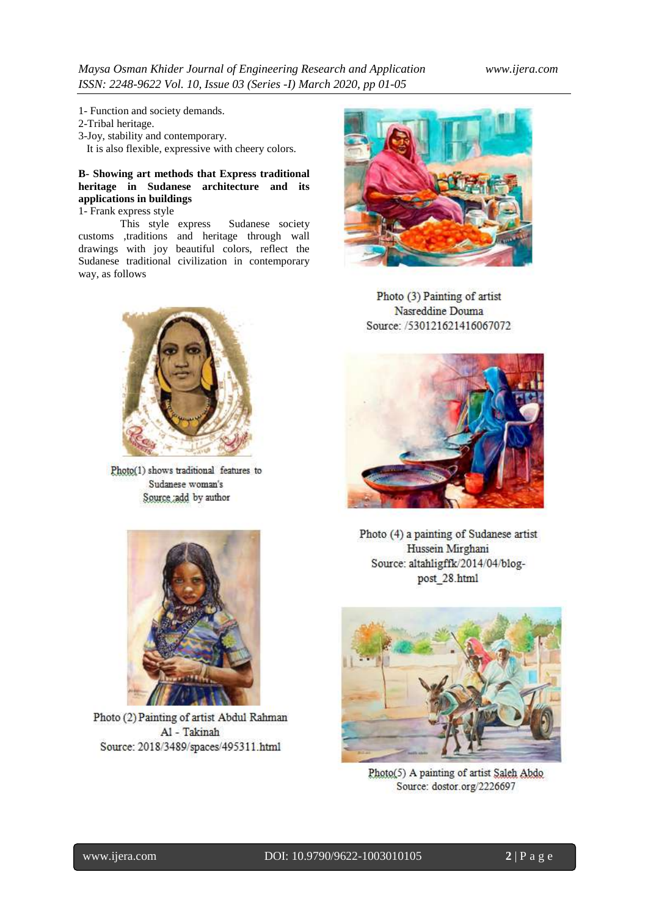- 1- Function and society demands.
- 2-Tribal heritage.
- 3-Joy, stability and contemporary.
- It is also flexible, expressive with cheery colors.

# **B- Showing art methods that Express traditional heritage in Sudanese architecture and its applications in buildings**

1- Frank express style

This style express Sudanese society customs ,traditions and heritage through wall drawings with joy beautiful colors, reflect the Sudanese traditional civilization in contemporary way, as follows



Photo(1) shows traditional features to Sudanese woman's Source add by author



Photo (2) Painting of artist Abdul Rahman Al - Takinah Source: 2018/3489/spaces/495311.html



Photo (3) Painting of artist Nasreddine Douma Source: /530121621416067072



Photo (4) a painting of Sudanese artist Hussein Mirghani Source: altahligffk/2014/04/blogpost\_28.html



Photo(5) A painting of artist Saleh Abdo Source: dostor.org/2226697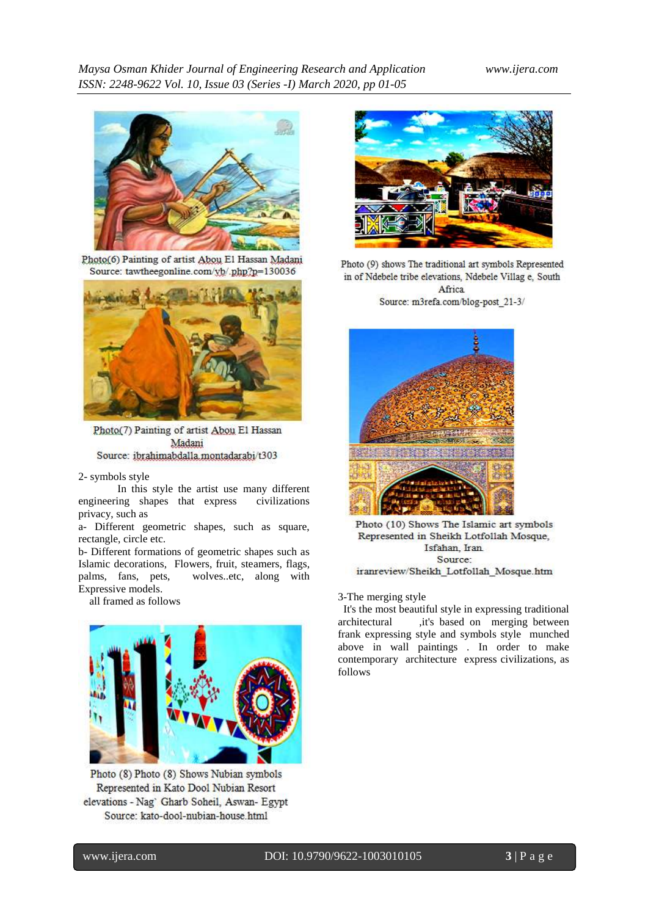

Photo(6) Painting of artist Abou El Hassan Madani Source: tawtheegonline.com/yb/.php?p=130036



Photo(7) Painting of artist Abou El Hassan Madani Source: ibrahimabdalla.montadarabi/t303

2- symbols style

In this style the artist use many different engineering shapes that express civilizations privacy, such as

a- Different geometric shapes, such as square, rectangle, circle etc.

b- Different formations of geometric shapes such as Islamic decorations, Flowers, fruit, steamers, flags, palms, fans, pets, wolves..etc, along with Expressive models.



Photo (8) Photo (8) Shows Nubian symbols Represented in Kato Dool Nubian Resort elevations - Nag' Gharb Soheil, Aswan- Egypt Source: kato-dool-nubian-house.html



Photo (9) shows The traditional art symbols Represented in of Ndebele tribe elevations, Ndebele Villag e, South Africa Source: m3refa.com/blog-post\_21-3/



Photo (10) Shows The Islamic art symbols Represented in Sheikh Lotfollah Mosque, Isfahan, Iran Source:

iranreview/Sheikh Lotfollah Mosque.htm

# all framed as follows 3-The merging style

It's the most beautiful style in expressing traditional architectural ,it's based on merging between frank expressing style and symbols style munched above in wall paintings . In order to make contemporary architecture express civilizations, as follows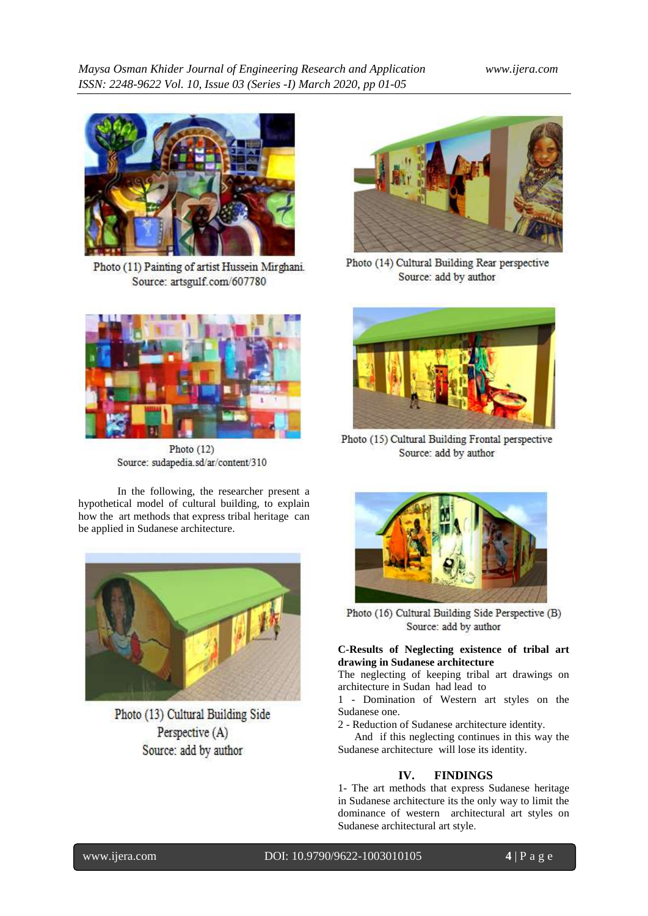

Photo (11) Painting of artist Hussein Mirghani. Source: artsgulf.com/607780



Photo (12) Source: sudapedia.sd/ar/content/310

In the following, the researcher present a hypothetical model of cultural building, to explain how the art methods that express tribal heritage can be applied in Sudanese architecture.



Photo (13) Cultural Building Side Perspective (A) Source: add by author



Photo (14) Cultural Building Rear perspective Source: add by author



Photo (15) Cultural Building Frontal perspective Source: add by author



Photo (16) Cultural Building Side Perspective (B) Source: add by author

### **C-Results of Neglecting existence of tribal art drawing in Sudanese architecture**

The neglecting of keeping tribal art drawings on architecture in Sudan had lead to

1 - Domination of Western art styles on the Sudanese one.

2 - Reduction of Sudanese architecture identity.

 And if this neglecting continues in this way the Sudanese architecture will lose its identity.

# **IV. FINDINGS**

1- The art methods that express Sudanese heritage in Sudanese architecture its the only way to limit the dominance of western architectural art styles on Sudanese architectural art style.